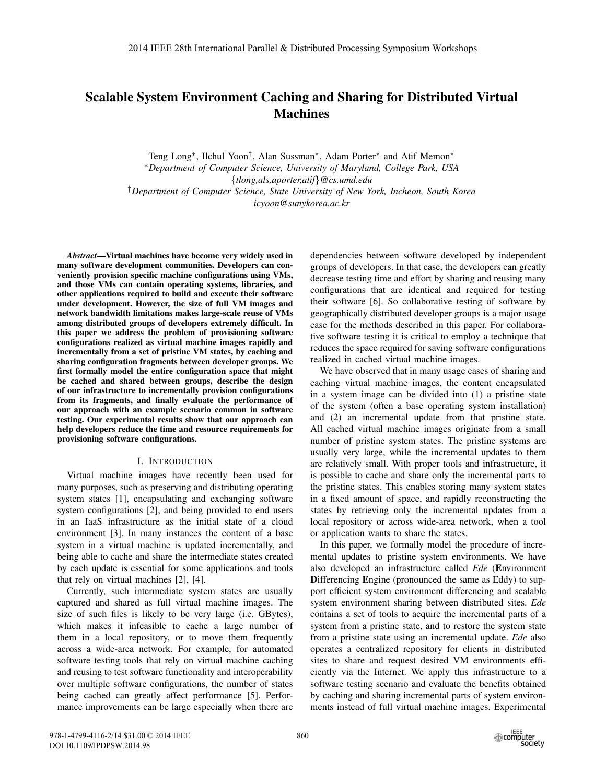# Scalable System Environment Caching and Sharing for Distributed Virtual Machines

Teng Long<sup>∗</sup>, Ilchul Yoon<sup>†</sup>, Alan Sussman<sup>∗</sup>, Adam Porter<sup>∗</sup> and Atif Memon<sup>∗</sup> ∗*Department of Computer Science, University of Maryland, College Park, USA* {*tlong,als,aporter,atif*}*@cs.umd.edu* †*Department of Computer Science, State University of New York, Incheon, South Korea icyoon@sunykorea.ac.kr*

*Abstract*—Virtual machines have become very widely used in many software development communities. Developers can conveniently provision specific machine configurations using VMs, and those VMs can contain operating systems, libraries, and other applications required to build and execute their software under development. However, the size of full VM images and network bandwidth limitations makes large-scale reuse of VMs among distributed groups of developers extremely difficult. In this paper we address the problem of provisioning software configurations realized as virtual machine images rapidly and incrementally from a set of pristine VM states, by caching and sharing configuration fragments between developer groups. We first formally model the entire configuration space that might be cached and shared between groups, describe the design of our infrastructure to incrementally provision configurations from its fragments, and finally evaluate the performance of our approach with an example scenario common in software testing. Our experimental results show that our approach can help developers reduce the time and resource requirements for provisioning software configurations.

## I. INTRODUCTION

Virtual machine images have recently been used for many purposes, such as preserving and distributing operating system states [1], encapsulating and exchanging software system configurations [2], and being provided to end users in an IaaS infrastructure as the initial state of a cloud environment [3]. In many instances the content of a base system in a virtual machine is updated incrementally, and being able to cache and share the intermediate states created by each update is essential for some applications and tools that rely on virtual machines [2], [4].

Currently, such intermediate system states are usually captured and shared as full virtual machine images. The size of such files is likely to be very large (i.e. GBytes), which makes it infeasible to cache a large number of them in a local repository, or to move them frequently across a wide-area network. For example, for automated software testing tools that rely on virtual machine caching and reusing to test software functionality and interoperability over multiple software configurations, the number of states being cached can greatly affect performance [5]. Performance improvements can be large especially when there are

dependencies between software developed by independent groups of developers. In that case, the developers can greatly decrease testing time and effort by sharing and reusing many configurations that are identical and required for testing their software [6]. So collaborative testing of software by geographically distributed developer groups is a major usage case for the methods described in this paper. For collaborative software testing it is critical to employ a technique that reduces the space required for saving software configurations realized in cached virtual machine images.

We have observed that in many usage cases of sharing and caching virtual machine images, the content encapsulated in a system image can be divided into (1) a pristine state of the system (often a base operating system installation) and (2) an incremental update from that pristine state. All cached virtual machine images originate from a small number of pristine system states. The pristine systems are usually very large, while the incremental updates to them are relatively small. With proper tools and infrastructure, it is possible to cache and share only the incremental parts to the pristine states. This enables storing many system states in a fixed amount of space, and rapidly reconstructing the states by retrieving only the incremental updates from a local repository or across wide-area network, when a tool or application wants to share the states.

In this paper, we formally model the procedure of incremental updates to pristine system environments. We have also developed an infrastructure called *Ede* (Environment Differencing Engine (pronounced the same as Eddy) to support efficient system environment differencing and scalable system environment sharing between distributed sites. *Ede* contains a set of tools to acquire the incremental parts of a system from a pristine state, and to restore the system state from a pristine state using an incremental update. *Ede* also operates a centralized repository for clients in distributed sites to share and request desired VM environments efficiently via the Internet. We apply this infrastructure to a software testing scenario and evaluate the benefits obtained by caching and sharing incremental parts of system environments instead of full virtual machine images. Experimental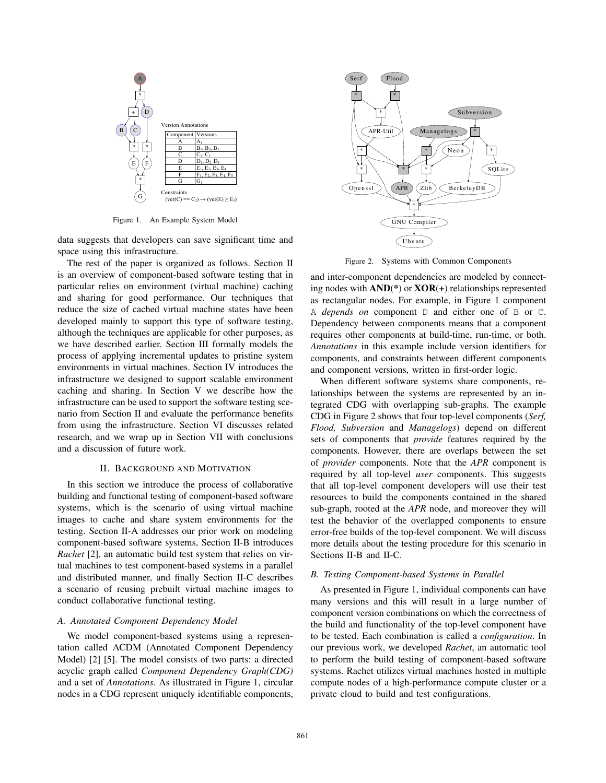

Figure 1. An Example System Model

data suggests that developers can save significant time and space using this infrastructure.

The rest of the paper is organized as follows. Section II is an overview of component-based software testing that in particular relies on environment (virtual machine) caching and sharing for good performance. Our techniques that reduce the size of cached virtual machine states have been developed mainly to support this type of software testing, although the techniques are applicable for other purposes, as we have described earlier. Section III formally models the process of applying incremental updates to pristine system environments in virtual machines. Section IV introduces the infrastructure we designed to support scalable environment caching and sharing. In Section V we describe how the infrastructure can be used to support the software testing scenario from Section II and evaluate the performance benefits from using the infrastructure. Section VI discusses related research, and we wrap up in Section VII with conclusions and a discussion of future work.

## II. BACKGROUND AND MOTIVATION

In this section we introduce the process of collaborative building and functional testing of component-based software systems, which is the scenario of using virtual machine images to cache and share system environments for the testing. Section II-A addresses our prior work on modeling component-based software systems, Section II-B introduces *Rachet* [2], an automatic build test system that relies on virtual machines to test component-based systems in a parallel and distributed manner, and finally Section II-C describes a scenario of reusing prebuilt virtual machine images to conduct collaborative functional testing.

#### *A. Annotated Component Dependency Model*

We model component-based systems using a representation called ACDM (Annotated Component Dependency Model) [2] [5]. The model consists of two parts: a directed acyclic graph called *Component Dependency Graph(CDG)* and a set of *Annotations*. As illustrated in Figure 1, circular nodes in a CDG represent uniquely identifiable components,



Figure 2. Systems with Common Components

and inter-component dependencies are modeled by connecting nodes with  $AND(*)$  or  $XOR(+)$  relationships represented as rectangular nodes. For example, in Figure 1 component A *depends on* component D and either one of B or C. Dependency between components means that a component requires other components at build-time, run-time, or both. *Annotations* in this example include version identifiers for components, and constraints between different components and component versions, written in first-order logic.

When different software systems share components, relationships between the systems are represented by an integrated CDG with overlapping sub-graphs. The example CDG in Figure 2 shows that four top-level components (*Serf, Flood, Subversion* and *Managelogs*) depend on different sets of components that *provide* features required by the components. However, there are overlaps between the set of *provider* components. Note that the *APR* component is required by all top-level *user* components. This suggests that all top-level component developers will use their test resources to build the components contained in the shared sub-graph, rooted at the *APR* node, and moreover they will test the behavior of the overlapped components to ensure error-free builds of the top-level component. We will discuss more details about the testing procedure for this scenario in Sections II-B and II-C.

#### *B. Testing Component-based Systems in Parallel*

As presented in Figure 1, individual components can have many versions and this will result in a large number of component version combinations on which the correctness of the build and functionality of the top-level component have to be tested. Each combination is called a *configuration*. In our previous work, we developed *Rachet*, an automatic tool to perform the build testing of component-based software systems. Rachet utilizes virtual machines hosted in multiple compute nodes of a high-performance compute cluster or a private cloud to build and test configurations.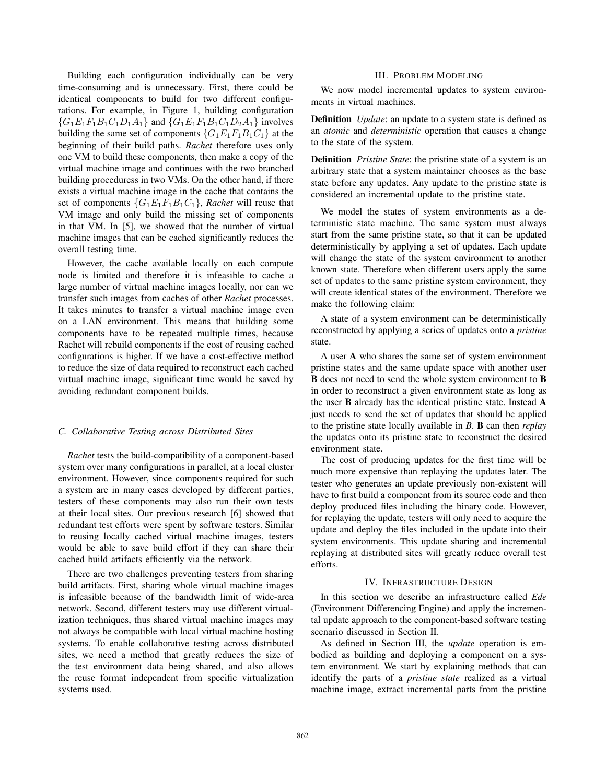Building each configuration individually can be very time-consuming and is unnecessary. First, there could be identical components to build for two different configurations. For example, in Figure 1, building configuration  ${G_1E_1F_1B_1C_1D_1A_1}$  and  ${G_1E_1F_1B_1C_1D_2A_1}$  involves building the same set of components  $\{G_1E_1F_1B_1C_1\}$  at the beginning of their build paths. *Rachet* therefore uses only one VM to build these components, then make a copy of the virtual machine image and continues with the two branched building proceduress in two VMs. On the other hand, if there exists a virtual machine image in the cache that contains the set of components  $\{G_1E_1F_1B_1C_1\}$ , *Rachet* will reuse that VM image and only build the missing set of components in that VM. In [5], we showed that the number of virtual machine images that can be cached significantly reduces the overall testing time.

However, the cache available locally on each compute node is limited and therefore it is infeasible to cache a large number of virtual machine images locally, nor can we transfer such images from caches of other *Rachet* processes. It takes minutes to transfer a virtual machine image even on a LAN environment. This means that building some components have to be repeated multiple times, because Rachet will rebuild components if the cost of reusing cached configurations is higher. If we have a cost-effective method to reduce the size of data required to reconstruct each cached virtual machine image, significant time would be saved by avoiding redundant component builds.

### *C. Collaborative Testing across Distributed Sites*

*Rachet* tests the build-compatibility of a component-based system over many configurations in parallel, at a local cluster environment. However, since components required for such a system are in many cases developed by different parties, testers of these components may also run their own tests at their local sites. Our previous research [6] showed that redundant test efforts were spent by software testers. Similar to reusing locally cached virtual machine images, testers would be able to save build effort if they can share their cached build artifacts efficiently via the network.

There are two challenges preventing testers from sharing build artifacts. First, sharing whole virtual machine images is infeasible because of the bandwidth limit of wide-area network. Second, different testers may use different virtualization techniques, thus shared virtual machine images may not always be compatible with local virtual machine hosting systems. To enable collaborative testing across distributed sites, we need a method that greatly reduces the size of the test environment data being shared, and also allows the reuse format independent from specific virtualization systems used.

## III. PROBLEM MODELING

We now model incremental updates to system environments in virtual machines.

Definition *Update*: an update to a system state is defined as an *atomic* and *deterministic* operation that causes a change to the state of the system.

Definition *Pristine State*: the pristine state of a system is an arbitrary state that a system maintainer chooses as the base state before any updates. Any update to the pristine state is considered an incremental update to the pristine state.

We model the states of system environments as a deterministic state machine. The same system must always start from the same pristine state, so that it can be updated deterministically by applying a set of updates. Each update will change the state of the system environment to another known state. Therefore when different users apply the same set of updates to the same pristine system environment, they will create identical states of the environment. Therefore we make the following claim:

A state of a system environment can be deterministically reconstructed by applying a series of updates onto a *pristine* state.

A user A who shares the same set of system environment pristine states and the same update space with another user B does not need to send the whole system environment to B in order to reconstruct a given environment state as long as the user B already has the identical pristine state. Instead A just needs to send the set of updates that should be applied to the pristine state locally available in *B*. B can then *replay* the updates onto its pristine state to reconstruct the desired environment state.

The cost of producing updates for the first time will be much more expensive than replaying the updates later. The tester who generates an update previously non-existent will have to first build a component from its source code and then deploy produced files including the binary code. However, for replaying the update, testers will only need to acquire the update and deploy the files included in the update into their system environments. This update sharing and incremental replaying at distributed sites will greatly reduce overall test efforts.

## IV. INFRASTRUCTURE DESIGN

In this section we describe an infrastructure called *Ede* (Environment Differencing Engine) and apply the incremental update approach to the component-based software testing scenario discussed in Section II.

As defined in Section III, the *update* operation is embodied as building and deploying a component on a system environment. We start by explaining methods that can identify the parts of a *pristine state* realized as a virtual machine image, extract incremental parts from the pristine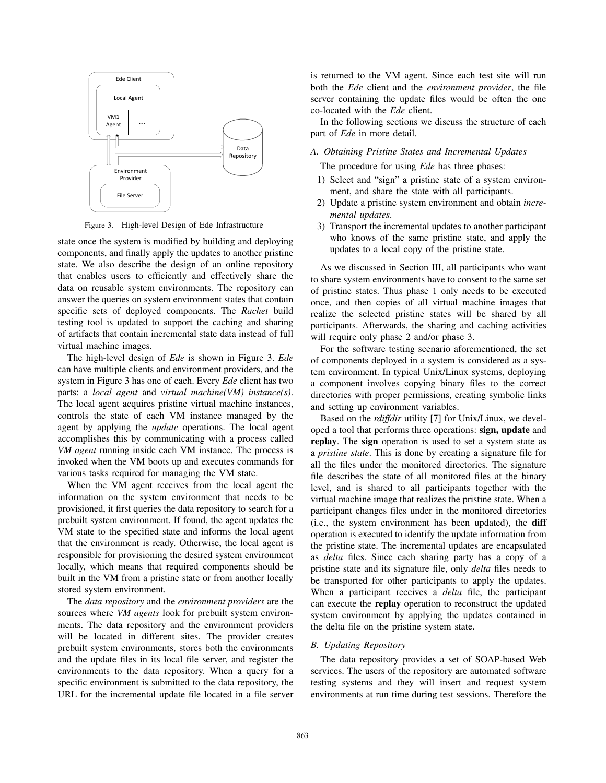

Figure 3. High-level Design of Ede Infrastructure

state once the system is modified by building and deploying components, and finally apply the updates to another pristine state. We also describe the design of an online repository that enables users to efficiently and effectively share the data on reusable system environments. The repository can answer the queries on system environment states that contain specific sets of deployed components. The *Rachet* build testing tool is updated to support the caching and sharing of artifacts that contain incremental state data instead of full virtual machine images.

The high-level design of *Ede* is shown in Figure 3. *Ede* can have multiple clients and environment providers, and the system in Figure 3 has one of each. Every *Ede* client has two parts: a *local agent* and *virtual machine(VM) instance(s)*. The local agent acquires pristine virtual machine instances, controls the state of each VM instance managed by the agent by applying the *update* operations. The local agent accomplishes this by communicating with a process called *VM agent* running inside each VM instance. The process is invoked when the VM boots up and executes commands for various tasks required for managing the VM state.

When the VM agent receives from the local agent the information on the system environment that needs to be provisioned, it first queries the data repository to search for a prebuilt system environment. If found, the agent updates the VM state to the specified state and informs the local agent that the environment is ready. Otherwise, the local agent is responsible for provisioning the desired system environment locally, which means that required components should be built in the VM from a pristine state or from another locally stored system environment.

The *data repository* and the *environment providers* are the sources where *VM agents* look for prebuilt system environments. The data repository and the environment providers will be located in different sites. The provider creates prebuilt system environments, stores both the environments and the update files in its local file server, and register the environments to the data repository. When a query for a specific environment is submitted to the data repository, the URL for the incremental update file located in a file server

is returned to the VM agent. Since each test site will run both the *Ede* client and the *environment provider*, the file server containing the update files would be often the one co-located with the *Ede* client.

In the following sections we discuss the structure of each part of *Ede* in more detail.

#### *A. Obtaining Pristine States and Incremental Updates*

The procedure for using *Ede* has three phases:

- 1) Select and "sign" a pristine state of a system environment, and share the state with all participants.
- 2) Update a pristine system environment and obtain *incremental updates*.
- 3) Transport the incremental updates to another participant who knows of the same pristine state, and apply the updates to a local copy of the pristine state.

As we discussed in Section III, all participants who want to share system environments have to consent to the same set of pristine states. Thus phase 1 only needs to be executed once, and then copies of all virtual machine images that realize the selected pristine states will be shared by all participants. Afterwards, the sharing and caching activities will require only phase 2 and/or phase 3.

For the software testing scenario aforementioned, the set of components deployed in a system is considered as a system environment. In typical Unix/Linux systems, deploying a component involves copying binary files to the correct directories with proper permissions, creating symbolic links and setting up environment variables.

Based on the *rdiffdir* utility [7] for Unix/Linux, we developed a tool that performs three operations: sign, update and replay. The sign operation is used to set a system state as a *pristine state*. This is done by creating a signature file for all the files under the monitored directories. The signature file describes the state of all monitored files at the binary level, and is shared to all participants together with the virtual machine image that realizes the pristine state. When a participant changes files under in the monitored directories (i.e., the system environment has been updated), the diff operation is executed to identify the update information from the pristine state. The incremental updates are encapsulated as *delta* files. Since each sharing party has a copy of a pristine state and its signature file, only *delta* files needs to be transported for other participants to apply the updates. When a participant receives a *delta* file, the participant can execute the replay operation to reconstruct the updated system environment by applying the updates contained in the delta file on the pristine system state.

## *B. Updating Repository*

The data repository provides a set of SOAP-based Web services. The users of the repository are automated software testing systems and they will insert and request system environments at run time during test sessions. Therefore the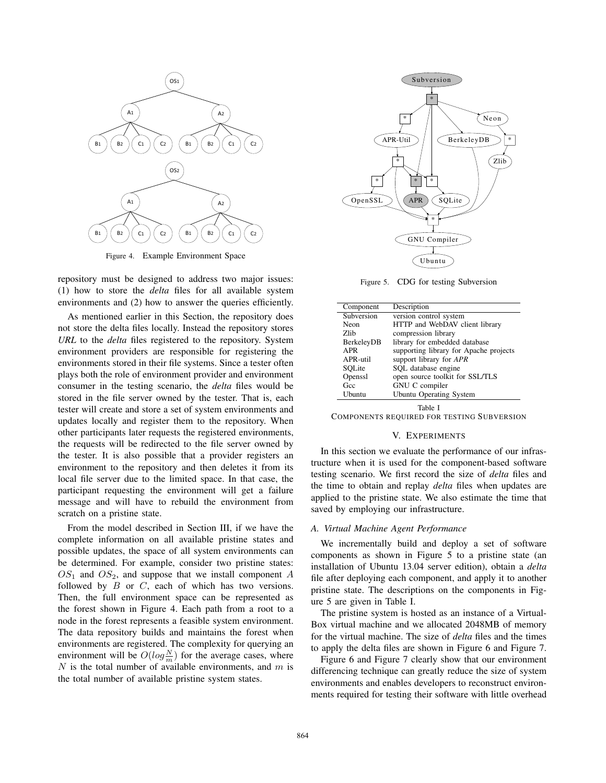

Figure 4. Example Environment Space

repository must be designed to address two major issues: (1) how to store the *delta* files for all available system environments and (2) how to answer the queries efficiently.

As mentioned earlier in this Section, the repository does not store the delta files locally. Instead the repository stores *URL* to the *delta* files registered to the repository. System environment providers are responsible for registering the environments stored in their file systems. Since a tester often plays both the role of environment provider and environment consumer in the testing scenario, the *delta* files would be stored in the file server owned by the tester. That is, each tester will create and store a set of system environments and updates locally and register them to the repository. When other participants later requests the registered environments, the requests will be redirected to the file server owned by the tester. It is also possible that a provider registers an environment to the repository and then deletes it from its local file server due to the limited space. In that case, the participant requesting the environment will get a failure message and will have to rebuild the environment from scratch on a pristine state.

From the model described in Section III, if we have the complete information on all available pristine states and possible updates, the space of all system environments can be determined. For example, consider two pristine states:  $OS_1$  and  $OS_2$ , and suppose that we install component A followed by  $B$  or  $C$ , each of which has two versions. Then, the full environment space can be represented as the forest shown in Figure 4. Each path from a root to a node in the forest represents a feasible system environment. The data repository builds and maintains the forest when environments are registered. The complexity for querying an environment will be  $O(log\frac{N}{m})$  for the average cases, where  $N$  is the total number of available environments, and m is  $N$  is the total number of available environments, and  $m$  is the total number of available pristine system states.



Figure 5. CDG for testing Subversion

| Component   | Description                            |
|-------------|----------------------------------------|
| Subversion  | version control system                 |
| Neon        | HTTP and WebDAV client library         |
| <b>Zlib</b> | compression library                    |
| BerkeleyDB  | library for embedded database          |
| <b>APR</b>  | supporting library for Apache projects |
| APR-util    | support library for APR                |
| SOLite      | SOL database engine                    |
| Openssl     | open source toolkit for SSL/TLS        |
| Gcc         | GNU C compiler                         |
| Ubuntu      | <b>Ubuntu Operating System</b>         |

Table I

COMPONENTS REQUIRED FOR TESTING SUBVERSION

## V. EXPERIMENTS

In this section we evaluate the performance of our infrastructure when it is used for the component-based software testing scenario. We first record the size of *delta* files and the time to obtain and replay *delta* files when updates are applied to the pristine state. We also estimate the time that saved by employing our infrastructure.

#### *A. Virtual Machine Agent Performance*

We incrementally build and deploy a set of software components as shown in Figure 5 to a pristine state (an installation of Ubuntu 13.04 server edition), obtain a *delta* file after deploying each component, and apply it to another pristine state. The descriptions on the components in Figure 5 are given in Table I.

The pristine system is hosted as an instance of a Virtual-Box virtual machine and we allocated 2048MB of memory for the virtual machine. The size of *delta* files and the times to apply the delta files are shown in Figure 6 and Figure 7.

Figure 6 and Figure 7 clearly show that our environment differencing technique can greatly reduce the size of system environments and enables developers to reconstruct environments required for testing their software with little overhead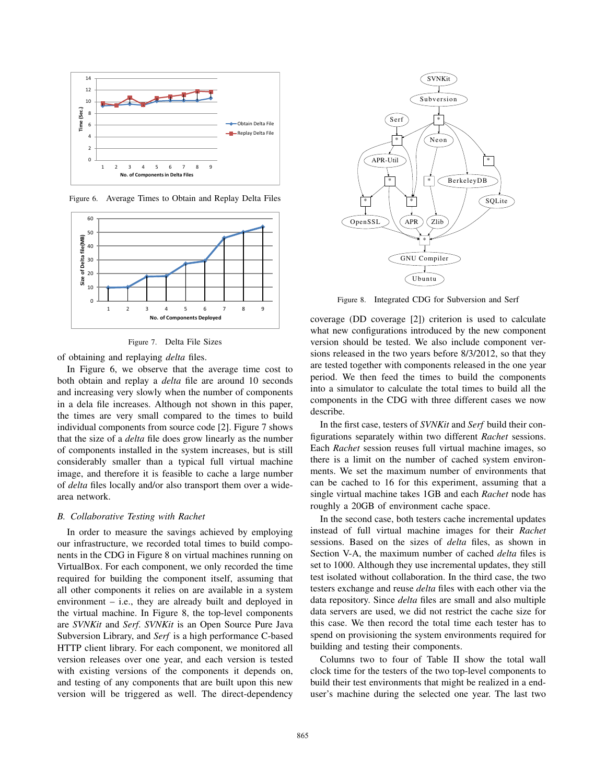

Figure 6. Average Times to Obtain and Replay Delta Files



Figure 7. Delta File Sizes

of obtaining and replaying *delta* files.

In Figure 6, we observe that the average time cost to both obtain and replay a *delta* file are around 10 seconds and increasing very slowly when the number of components in a dela file increases. Although not shown in this paper, the times are very small compared to the times to build individual components from source code [2]. Figure 7 shows that the size of a *delta* file does grow linearly as the number of components installed in the system increases, but is still considerably smaller than a typical full virtual machine image, and therefore it is feasible to cache a large number of *delta* files locally and/or also transport them over a widearea network.

#### *B. Collaborative Testing with Rachet*

In order to measure the savings achieved by employing our infrastructure, we recorded total times to build components in the CDG in Figure 8 on virtual machines running on VirtualBox. For each component, we only recorded the time required for building the component itself, assuming that all other components it relies on are available in a system environment – i.e., they are already built and deployed in the virtual machine. In Figure 8, the top-level components are *SVNKit* and *Serf*. *SVNKit* is an Open Source Pure Java Subversion Library, and *Serf* is a high performance C-based HTTP client library. For each component, we monitored all version releases over one year, and each version is tested with existing versions of the components it depends on, and testing of any components that are built upon this new version will be triggered as well. The direct-dependency



Figure 8. Integrated CDG for Subversion and Serf

coverage (DD coverage [2]) criterion is used to calculate what new configurations introduced by the new component version should be tested. We also include component versions released in the two years before 8/3/2012, so that they are tested together with components released in the one year period. We then feed the times to build the components into a simulator to calculate the total times to build all the components in the CDG with three different cases we now describe.

In the first case, testers of *SVNKit* and *Serf* build their configurations separately within two different *Rachet* sessions. Each *Rachet* session reuses full virtual machine images, so there is a limit on the number of cached system environments. We set the maximum number of environments that can be cached to 16 for this experiment, assuming that a single virtual machine takes 1GB and each *Rachet* node has roughly a 20GB of environment cache space.

In the second case, both testers cache incremental updates instead of full virtual machine images for their *Rachet* sessions. Based on the sizes of *delta* files, as shown in Section V-A, the maximum number of cached *delta* files is set to 1000. Although they use incremental updates, they still test isolated without collaboration. In the third case, the two testers exchange and reuse *delta* files with each other via the data repository. Since *delta* files are small and also multiple data servers are used, we did not restrict the cache size for this case. We then record the total time each tester has to spend on provisioning the system environments required for building and testing their components.

Columns two to four of Table II show the total wall clock time for the testers of the two top-level components to build their test environments that might be realized in a enduser's machine during the selected one year. The last two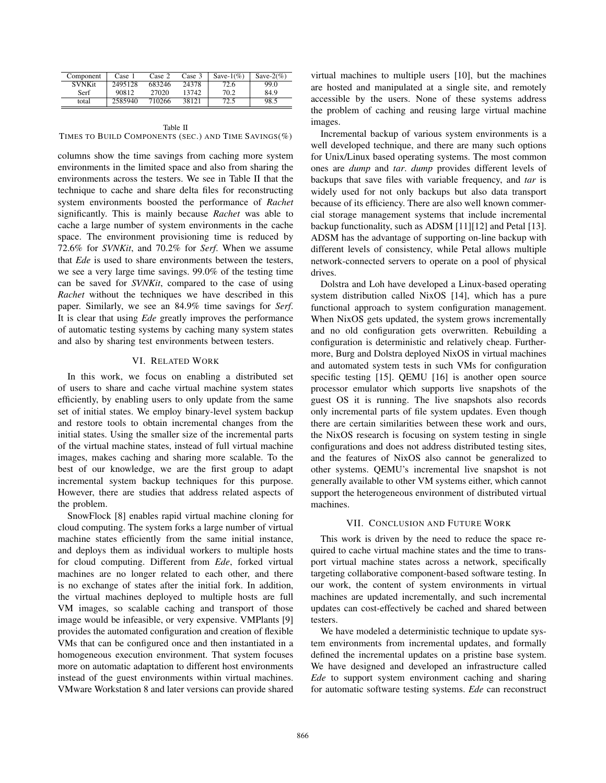| Component     | Case 1  | Case 2 | Case 3 | Save- $1\%$ ) | Save- $2\frac{\%}{\%}$ |
|---------------|---------|--------|--------|---------------|------------------------|
| <b>SVNKit</b> | 2495128 | 683246 | 24378  | 72.6          | 99.0                   |
| Serf          | 90812   | 27020  | 13742  | 70.2          | 84.9                   |
| total         | 2585940 | 710266 | 38121  | 72.5          | 98.5                   |

Table II

TIMES TO BUILD COMPONENTS (SEC.) AND TIME SAVINGS(%)

columns show the time savings from caching more system environments in the limited space and also from sharing the environments across the testers. We see in Table II that the technique to cache and share delta files for reconstructing system environments boosted the performance of *Rachet* significantly. This is mainly because *Rachet* was able to cache a large number of system environments in the cache space. The environment provisioning time is reduced by 72.6% for *SVNKit*, and 70.2% for *Serf*. When we assume that *Ede* is used to share environments between the testers, we see a very large time savings. 99.0% of the testing time can be saved for *SVNKit*, compared to the case of using *Rachet* without the techniques we have described in this paper. Similarly, we see an 84.9% time savings for *Serf*. It is clear that using *Ede* greatly improves the performance of automatic testing systems by caching many system states and also by sharing test environments between testers.

## VI. RELATED WORK

In this work, we focus on enabling a distributed set of users to share and cache virtual machine system states efficiently, by enabling users to only update from the same set of initial states. We employ binary-level system backup and restore tools to obtain incremental changes from the initial states. Using the smaller size of the incremental parts of the virtual machine states, instead of full virtual machine images, makes caching and sharing more scalable. To the best of our knowledge, we are the first group to adapt incremental system backup techniques for this purpose. However, there are studies that address related aspects of the problem.

SnowFlock [8] enables rapid virtual machine cloning for cloud computing. The system forks a large number of virtual machine states efficiently from the same initial instance, and deploys them as individual workers to multiple hosts for cloud computing. Different from *Ede*, forked virtual machines are no longer related to each other, and there is no exchange of states after the initial fork. In addition, the virtual machines deployed to multiple hosts are full VM images, so scalable caching and transport of those image would be infeasible, or very expensive. VMPlants [9] provides the automated configuration and creation of flexible VMs that can be configured once and then instantiated in a homogeneous execution environment. That system focuses more on automatic adaptation to different host environments instead of the guest environments within virtual machines. VMware Workstation 8 and later versions can provide shared virtual machines to multiple users [10], but the machines are hosted and manipulated at a single site, and remotely accessible by the users. None of these systems address the problem of caching and reusing large virtual machine images.

Incremental backup of various system environments is a well developed technique, and there are many such options for Unix/Linux based operating systems. The most common ones are *dump* and *tar*. *dump* provides different levels of backups that save files with variable frequency, and *tar* is widely used for not only backups but also data transport because of its efficiency. There are also well known commercial storage management systems that include incremental backup functionality, such as ADSM [11][12] and Petal [13]. ADSM has the advantage of supporting on-line backup with different levels of consistency, while Petal allows multiple network-connected servers to operate on a pool of physical drives.

Dolstra and Loh have developed a Linux-based operating system distribution called NixOS [14], which has a pure functional approach to system configuration management. When NixOS gets updated, the system grows incrementally and no old configuration gets overwritten. Rebuilding a configuration is deterministic and relatively cheap. Furthermore, Burg and Dolstra deployed NixOS in virtual machines and automated system tests in such VMs for configuration specific testing [15]. QEMU [16] is another open source processor emulator which supports live snapshots of the guest OS it is running. The live snapshots also records only incremental parts of file system updates. Even though there are certain similarities between these work and ours, the NixOS research is focusing on system testing in single configurations and does not address distributed testing sites, and the features of NixOS also cannot be generalized to other systems. QEMU's incremental live snapshot is not generally available to other VM systems either, which cannot support the heterogeneous environment of distributed virtual machines.

#### VII. CONCLUSION AND FUTURE WORK

This work is driven by the need to reduce the space required to cache virtual machine states and the time to transport virtual machine states across a network, specifically targeting collaborative component-based software testing. In our work, the content of system environments in virtual machines are updated incrementally, and such incremental updates can cost-effectively be cached and shared between testers.

We have modeled a deterministic technique to update system environments from incremental updates, and formally defined the incremental updates on a pristine base system. We have designed and developed an infrastructure called *Ede* to support system environment caching and sharing for automatic software testing systems. *Ede* can reconstruct